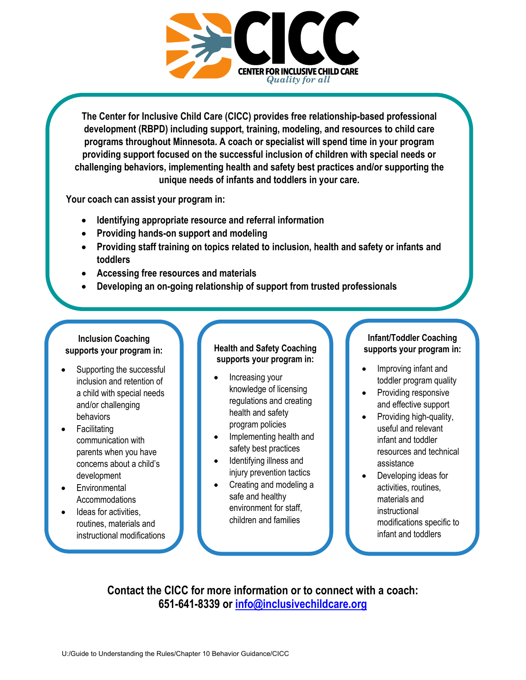

**The Center for Inclusive Child Care (CICC) provides free relationship-based professional development (RBPD) including support, training, modeling, and resources to child care programs throughout Minnesota. A coach or specialist will spend time in your program providing support focused on the successful inclusion of children with special needs or challenging behaviors, implementing health and safety best practices and/or supporting the unique needs of infants and toddlers in your care.**

**Your coach can assist your program in:**

- **Identifying appropriate resource and referral information**
- **Providing hands-on support and modeling**
- **Providing staff training on topics related to inclusion, health and safety or infants and toddlers**
- **Accessing free resources and materials**
- **Developing an on-going relationship of support from trusted professionals**

#### **Inclusion Coaching supports your program in:**

- Supporting the successful inclusion and retention of a child with special needs and/or challenging behaviors
- **Facilitating** communication with parents when you have concerns about a child's development
- **Environmental** Accommodations
- Ideas for activities, routines, materials and instructional modifications

#### **Health and Safety Coaching supports your program in:**

- Increasing your knowledge of licensing regulations and creating health and safety program policies
- Implementing health and safety best practices
- Identifying illness and injury prevention tactics
- Creating and modeling a safe and healthy environment for staff, children and families

#### **Infant/Toddler Coaching supports your program in:**

- Improving infant and toddler program quality
- Providing responsive and effective support
- Providing high-quality, useful and relevant infant and toddler resources and technical assistance
- Developing ideas for activities, routines, materials and instructional modifications specific to infant and toddlers

**Contact the CICC for more information or to connect with a coach: 651-641-8339 or [info@inclusivechildcare.org](mailto:info@inclusivechildcare.org)**